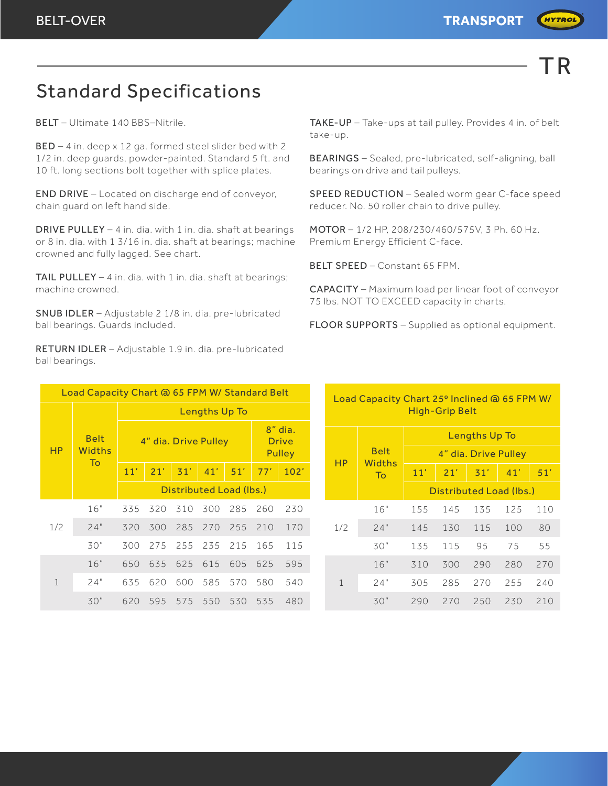

**HYTROL** 

## Standard Specifications

BELT – Ultimate 140 BBS–Nitrile.

BED – 4 in. deep x 12 ga. formed steel slider bed with 2 1/2 in. deep guards, powder-painted. Standard 5 ft. and 10 ft. long sections bolt together with splice plates.

END DRIVE – Located on discharge end of conveyor, chain guard on left hand side.

DRIVE PULLEY – 4 in. dia. with 1 in. dia. shaft at bearings or 8 in. dia. with 1 3/16 in. dia. shaft at bearings; machine crowned and fully lagged. See chart.

TAIL PULLEY - 4 in. dia. with 1 in. dia. shaft at bearings; machine crowned.

SNUB IDLER – Adjustable 2 1/8 in. dia. pre-lubricated ball bearings. Guards included.

RETURN IDLER – Adjustable 1.9 in. dia. pre-lubricated ball bearings.

| Load Capacity Chart @ 65 FPM W/ Standard Belt |                                    |                         |     |     |     |     |                                          |      |     | Load Capacity Chart 25° Inclined @ 65 FPM W/ |                       |                                              |     |     |     |     |  |
|-----------------------------------------------|------------------------------------|-------------------------|-----|-----|-----|-----|------------------------------------------|------|-----|----------------------------------------------|-----------------------|----------------------------------------------|-----|-----|-----|-----|--|
| <b>HP</b>                                     | <b>Belt</b><br><b>Widths</b><br>To | Lengths Up To           |     |     |     |     |                                          |      |     |                                              | <b>High-Grip Belt</b> |                                              |     |     |     |     |  |
|                                               |                                    | 4" dia. Drive Pulley    |     |     |     |     | 8" dia.<br><b>Drive</b><br><b>Pulley</b> |      |     |                                              | <b>Belt</b>           | <b>Lengths Up To</b><br>4" dia. Drive Pulley |     |     |     |     |  |
|                                               |                                    | 11'                     | 21' | 31' | 41' | 51' | 77'                                      | 102' |     | <b>HP</b>                                    | Widths<br>To          | 11'                                          | 21' | 31' | 41' | 51' |  |
|                                               |                                    | Distributed Load (lbs.) |     |     |     |     |                                          |      |     |                                              |                       | Distributed Load (lbs.)                      |     |     |     |     |  |
| 1/2                                           | 16"                                | 335                     | 320 | 310 | 300 | 285 | 260                                      | 230  |     |                                              | 16"                   | 155                                          | 145 | 135 | 125 | 110 |  |
|                                               | 24"                                | 320                     | 300 | 285 | 270 | 255 | 210                                      | 170  | 1/2 | 24"                                          | 145                   | 130                                          | 115 | 100 | 80  |     |  |
|                                               | 30"                                | 300                     | 275 | 255 | 235 | 215 | 165                                      | 115  |     | 30"                                          | 135                   | 115                                          | 95  | 75  | 55  |     |  |
| $\mathbf{1}$                                  | 16"                                | 650                     | 635 | 625 | 615 | 605 | 625                                      | 595  |     | 1                                            | 16"                   | 310                                          | 300 | 290 | 280 | 270 |  |
|                                               | 24"                                | 635                     | 620 | 600 | 585 | 570 | 580                                      | 540  |     |                                              | 24"                   | 305                                          | 285 | 270 | 255 | 240 |  |
|                                               | 30"                                | 620                     | 595 | 575 | 550 | 530 | 535                                      | 480  |     |                                              | 30"                   | 290                                          | 270 | 250 | 230 | 210 |  |

TAKE-UP – Take-ups at tail pulley. Provides 4 in. of belt take-up.

BEARINGS – Sealed, pre-lubricated, self-aligning, ball bearings on drive and tail pulleys.

SPEED REDUCTION – Sealed worm gear C-face speed reducer. No. 50 roller chain to drive pulley.

MOTOR – 1/2 HP, 208/230/460/575V, 3 Ph. 60 Hz. Premium Energy Efficient C-face.

BELT SPEED – Constant 65 FPM.

CAPACITY – Maximum load per linear foot of conveyor 75 lbs. NOT TO EXCEED capacity in charts.

FLOOR SUPPORTS – Supplied as optional equipment.

| Capacity Chart to 03 T T T WY Standard BCIt |     |     |     |                         |     |                                   |      |  | Load Capacity Chart 25° Inclined @ 65 FPM W/ |                              |                      |                         |     |     |     |  |  |  |
|---------------------------------------------|-----|-----|-----|-------------------------|-----|-----------------------------------|------|--|----------------------------------------------|------------------------------|----------------------|-------------------------|-----|-----|-----|--|--|--|
|                                             |     |     |     | <b>Lengths Up To</b>    |     |                                   |      |  | <b>High-Grip Belt</b>                        |                              |                      |                         |     |     |     |  |  |  |
| <b>Belt</b><br>idths<br><b>To</b>           |     |     |     | 4" dia. Drive Pulley    |     | 8" dia.<br><b>Drive</b><br>Pulley |      |  |                                              | <b>Belt</b><br><b>Widths</b> | <b>Lengths Up To</b> |                         |     |     |     |  |  |  |
|                                             |     |     |     |                         |     |                                   |      |  | HP                                           |                              | 4" dia. Drive Pulley |                         |     |     |     |  |  |  |
|                                             | 11' | 21' | 31' | 41'                     | 51' | 77'                               | 102' |  |                                              | To                           | 11'                  | 21'                     | 31' | 41' | 51' |  |  |  |
|                                             |     |     |     | Distributed Load (lbs.) |     |                                   |      |  |                                              |                              |                      | Distributed Load (lbs.) |     |     |     |  |  |  |
| 16"                                         | 335 | 320 | 310 | 300                     | 285 | 260                               | 230  |  | 1/2                                          | 16"                          | 155                  | 145                     | 135 | 125 | 110 |  |  |  |
| 24"                                         | 320 | 300 | 285 | 270                     | 255 | 210                               | 170  |  |                                              | 24"                          | 145                  | 130                     | 115 | 100 | 80  |  |  |  |
| 30"                                         | 300 | 275 | 255 | 235                     | 215 | 165                               | 115  |  |                                              | 30"                          | 135                  | 115                     | 95  | 75  | 55  |  |  |  |
| 16"                                         | 650 | 635 | 625 | 615                     | 605 | 625                               | 595  |  | 1                                            | 16"                          | 310                  | 300                     | 290 | 280 | 270 |  |  |  |
| 24"                                         | 635 | 620 | 600 | 585                     | 570 | 580                               | 540  |  |                                              | 24"                          | 305                  | 285                     | 270 | 255 | 240 |  |  |  |
| 30"                                         | 620 | 595 | 575 | 550                     | 530 | 535                               | 480  |  |                                              | 30"                          | 290                  | 270                     | 250 | 230 | 210 |  |  |  |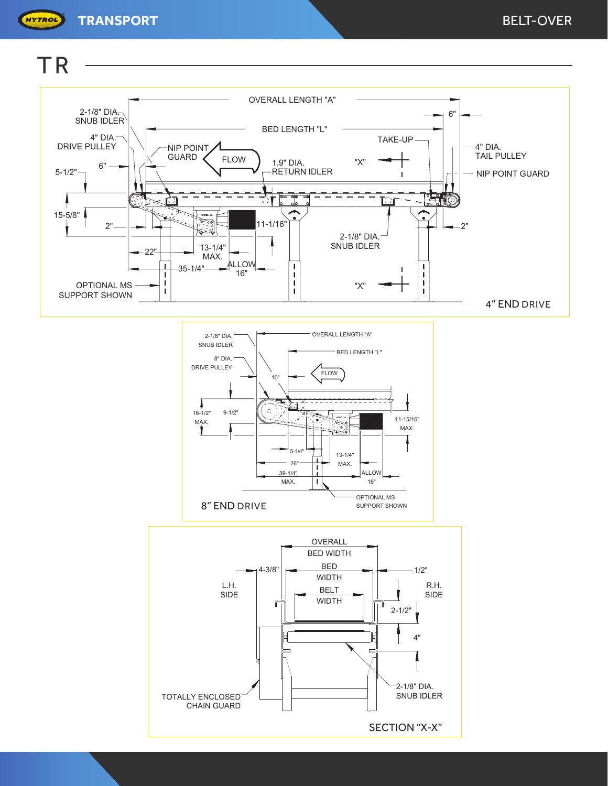

2-1/8" DIA. SNUB IDLER 4" DIA. DRIVE PULLEY  $5 - 1/2" \rightarrow 6"$ NIP POINT OVERALL LENGTH "A" BED LENGTH "L" TAKE-UP 6" 4" DIA. NIP POINT GUARD 15-5/8" OPTIONAL MS SUPPORT SHOWN

**TR** 

HYTROL